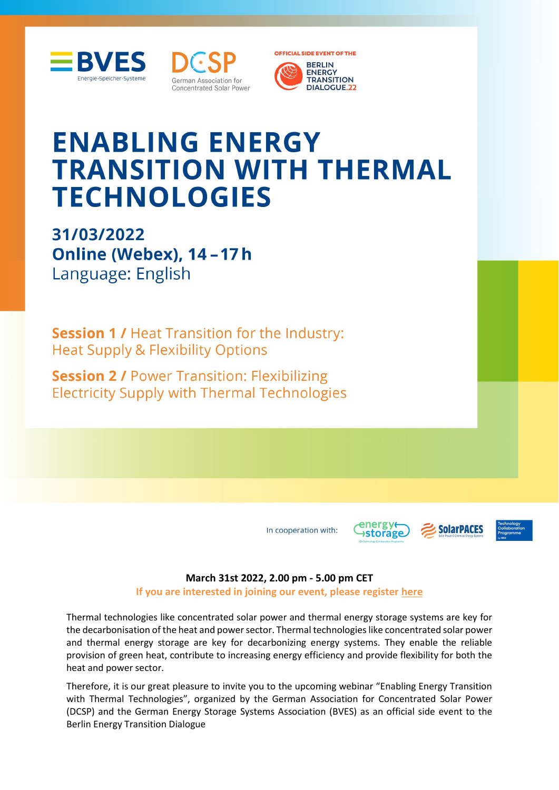





# **ENABLING ENERGY TRANSITION WITH THERMAL TECHNOLOGIES**

31/03/2022 Online (Webex), 14-17h Language: English

**Session 1/ Heat Transition for the Industry: Heat Supply & Flexibility Options** 

**Session 2 / Power Transition: Flexibilizing Electricity Supply with Thermal Technologies** 

In cooperation with:





#### **March 31st 2022, 2.00 pm - 5.00 pm CET**

#### **If you are interested in joining our event, please register [here](https://www.bves.de/bves-dcsp-event-enabling-energy-transition-thermal-technologies/)**

Thermal technologies like concentrated solar power and thermal energy storage systems are key for the decarbonisation of the heat and power sector. Thermal technologies like concentrated solar power and thermal energy storage are key for decarbonizing energy systems. They enable the reliable provision of green heat, contribute to increasing energy efficiency and provide flexibility for both the heat and power sector.

Therefore, it is our great pleasure to invite you to the upcoming webinar "Enabling Energy Transition with Thermal Technologies", organized by the German Association for Concentrated Solar Power (DCSP) and the German Energy Storage Systems Association (BVES) as an official side event to the Berlin Energy Transition Dialogue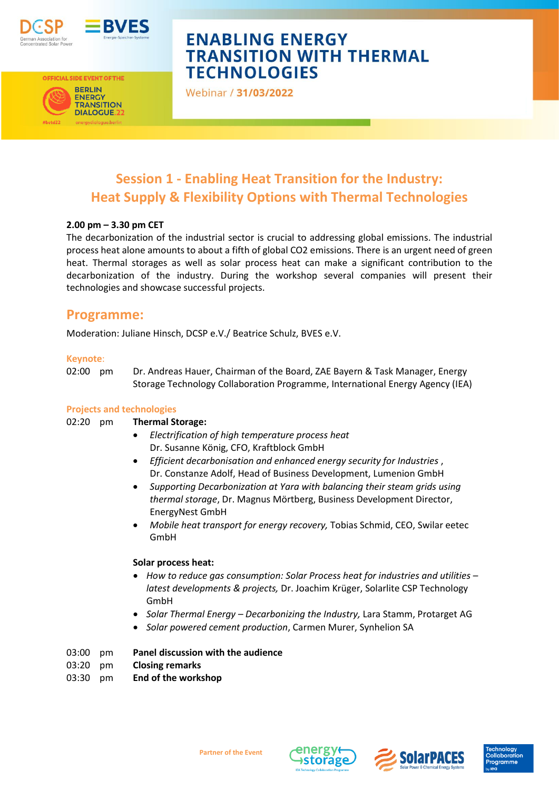



**OFFICIAL SIDE EVENT OF THE BERLIN** 

**ENERGY TRANSITION DIALOGUE.27** 

# **ENABLING ENERGY TRANSITION WITH THERMAL TECHNOLOGIES**

Webinar / 31/03/2022

### **Session 1 - Enabling Heat Transition for the Industry: Heat Supply & Flexibility Options with Thermal Technologies**

#### **2.00 pm – 3.30 pm CET**

The decarbonization of the industrial sector is crucial to addressing global emissions. The industrial process heat alone amounts to about a fifth of global CO2 emissions. There is an urgent need of green heat. Thermal storages as well as solar process heat can make a significant contribution to the decarbonization of the industry. During the workshop several companies will present their technologies and showcase successful projects.

### **Programme:**

Moderation: Juliane Hinsch, DCSP e.V./ Beatrice Schulz, BVES e.V.

#### **Keynote**:

02:00 pm Dr. Andreas Hauer, Chairman of the Board, ZAE Bayern & Task Manager, Energy Storage Technology Collaboration Programme, International Energy Agency (IEA)

#### **Projects and technologies**

#### 02:20 pm **Thermal Storage:**

- *Electrification of high temperature process heat* Dr. Susanne König, CFO, Kraftblock GmbH
- *Efficient decarbonisation and enhanced energy security for Industries* , Dr. Constanze Adolf, Head of Business Development, Lumenion GmbH
- *Supporting Decarbonization at Yara with balancing their steam grids using thermal storage*, Dr. Magnus Mörtberg, Business Development Director, EnergyNest GmbH
- *Mobile heat transport for energy recovery,* Tobias Schmid, CEO, Swilar eetec GmbH

#### **Solar process heat:**

- *How to reduce gas consumption: Solar Process heat for industries and utilities – latest developments & projects,* Dr. Joachim Krüger, Solarlite CSP Technology GmbH
- *Solar Thermal Energy – Decarbonizing the Industry,* Lara Stamm, Protarget AG
- *Solar powered cement production*, Carmen Murer, Synhelion SA

#### 03:00 pm **Panel discussion with the audience**

- 03:20 pm **Closing remarks**
- 03:30 pm **End of the workshop**





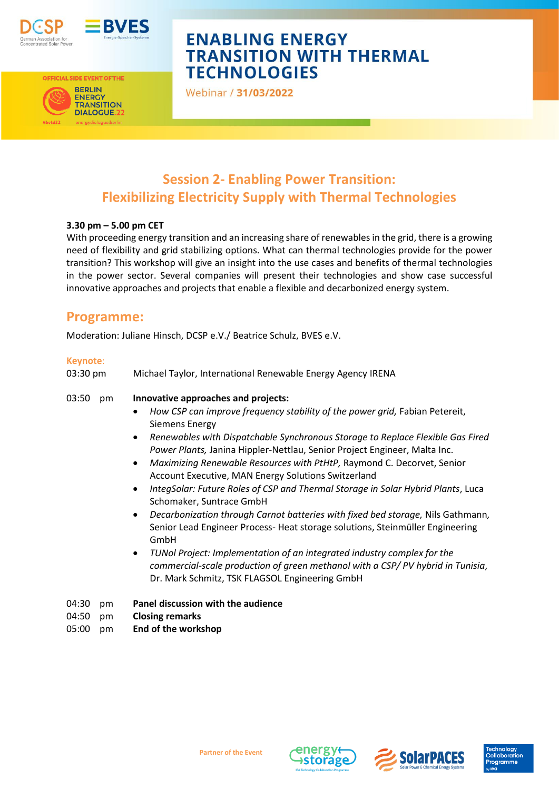



OFFICIAL SIDE EVENT OF THE **BERLIN** 

**ENERGY TRANSITION DIALOGUE.22** 

# **ENABLING ENERGY TRANSITION WITH THERMAL TECHNOLOGIES**

Webinar / 31/03/2022

### **Session 2- Enabling Power Transition: Flexibilizing Electricity Supply with Thermal Technologies**

#### **3.30 pm – 5.00 pm CET**

With proceeding energy transition and an increasing share of renewables in the grid, there is a growing need of flexibility and grid stabilizing options. What can thermal technologies provide for the power transition? This workshop will give an insight into the use cases and benefits of thermal technologies in the power sector. Several companies will present their technologies and show case successful innovative approaches and projects that enable a flexible and decarbonized energy system.

### **Programme:**

Moderation: Juliane Hinsch, DCSP e.V./ Beatrice Schulz, BVES e.V.

#### **Keynote**:

| 04:30<br>pm | Panel discussion with the audience                                                                                                                                                                                                                                                                                                                                                                                                                                                                                                                                                                                                                                                                                                                                                                                                                                                                                                                                                                                           |
|-------------|------------------------------------------------------------------------------------------------------------------------------------------------------------------------------------------------------------------------------------------------------------------------------------------------------------------------------------------------------------------------------------------------------------------------------------------------------------------------------------------------------------------------------------------------------------------------------------------------------------------------------------------------------------------------------------------------------------------------------------------------------------------------------------------------------------------------------------------------------------------------------------------------------------------------------------------------------------------------------------------------------------------------------|
| 03:50<br>pm | Innovative approaches and projects:<br>How CSP can improve frequency stability of the power grid, Fabian Petereit,<br>٠<br><b>Siemens Energy</b><br>Renewables with Dispatchable Synchronous Storage to Replace Flexible Gas Fired<br>$\bullet$<br>Power Plants, Janina Hippler-Nettlau, Senior Project Engineer, Malta Inc.<br>Maximizing Renewable Resources with PtHtP, Raymond C. Decorvet, Senior<br>$\bullet$<br>Account Executive, MAN Energy Solutions Switzerland<br>IntegSolar: Future Roles of CSP and Thermal Storage in Solar Hybrid Plants, Luca<br>$\bullet$<br>Schomaker, Suntrace GmbH<br>Decarbonization through Carnot batteries with fixed bed storage, Nils Gathmann,<br>$\bullet$<br>Senior Lead Engineer Process- Heat storage solutions, Steinmüller Engineering<br>GmbH<br>TUNol Project: Implementation of an integrated industry complex for the<br>$\bullet$<br>commercial-scale production of green methanol with a CSP/PV hybrid in Tunisia,<br>Dr. Mark Schmitz, TSK FLAGSOL Engineering GmbH |
| 03:30 pm    | Michael Taylor, International Renewable Energy Agency IRENA                                                                                                                                                                                                                                                                                                                                                                                                                                                                                                                                                                                                                                                                                                                                                                                                                                                                                                                                                                  |

- 04:50 pm **Closing remarks**
- 05:00 pm **End of the workshop**